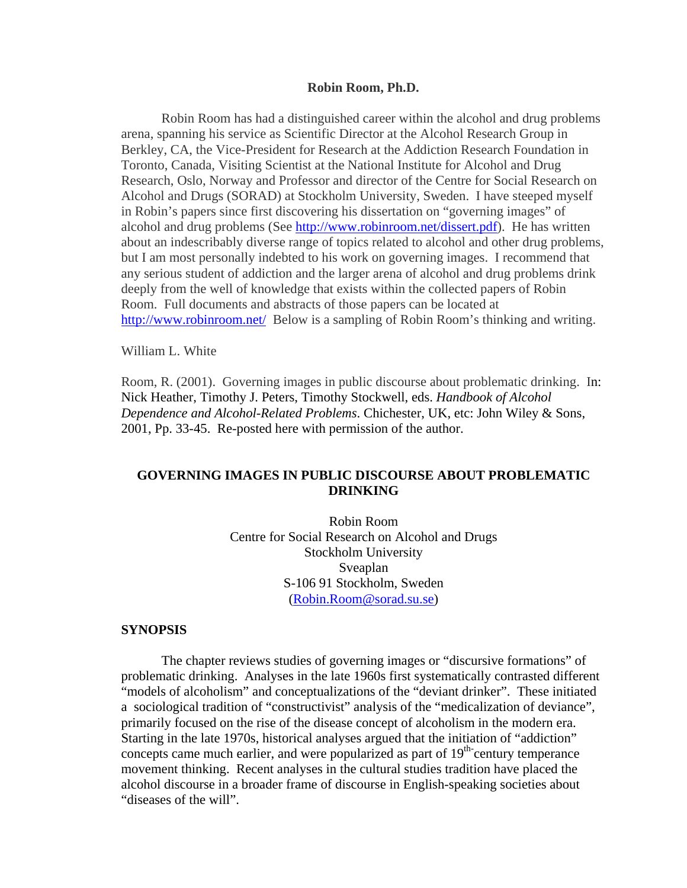#### **Robin Room, Ph.D.**

 Robin Room has had a distinguished career within the alcohol and drug problems arena, spanning his service as Scientific Director at the Alcohol Research Group in Berkley, CA, the Vice-President for Research at the Addiction Research Foundation in Toronto, Canada, Visiting Scientist at the National Institute for Alcohol and Drug Research, Oslo, Norway and Professor and director of the Centre for Social Research on Alcohol and Drugs (SORAD) at Stockholm University, Sweden. I have steeped myself in Robin's papers since first discovering his dissertation on "governing images" of alcohol and drug problems (See <http://www.robinroom.net/dissert.pdf>). He has written about an indescribably diverse range of topics related to alcohol and other drug problems, but I am most personally indebted to his work on governing images. I recommend that any serious student of addiction and the larger arena of alcohol and drug problems drink deeply from the well of knowledge that exists within the collected papers of Robin Room. Full documents and abstracts of those papers can be located at <http://www.robinroom.net/> Below is a sampling of Robin Room's thinking and writing.

William L. White

Room, R. (2001). Governing images in public discourse about problematic drinking. In: Nick Heather, Timothy J. Peters, Timothy Stockwell, eds. *Handbook of Alcohol Dependence and Alcohol-Related Problems*. Chichester, UK, etc: John Wiley & Sons, 2001, Pp. 33-45. Re-posted here with permission of the author.

# **GOVERNING IMAGES IN PUBLIC DISCOURSE ABOUT PROBLEMATIC DRINKING**

Robin Room Centre for Social Research on Alcohol and Drugs Stockholm University Sveaplan S-106 91 Stockholm, Sweden [\(Robin.Room@sorad.su.se\)](mailto:Robin.Room@sorad.su.se)

#### **SYNOPSIS**

 The chapter reviews studies of governing images or "discursive formations" of problematic drinking. Analyses in the late 1960s first systematically contrasted different "models of alcoholism" and conceptualizations of the "deviant drinker". These initiated a sociological tradition of "constructivist" analysis of the "medicalization of deviance", primarily focused on the rise of the disease concept of alcoholism in the modern era. Starting in the late 1970s, historical analyses argued that the initiation of "addiction" concepts came much earlier, and were popularized as part of  $19<sup>th</sup>$  century temperance movement thinking. Recent analyses in the cultural studies tradition have placed the alcohol discourse in a broader frame of discourse in English-speaking societies about "diseases of the will".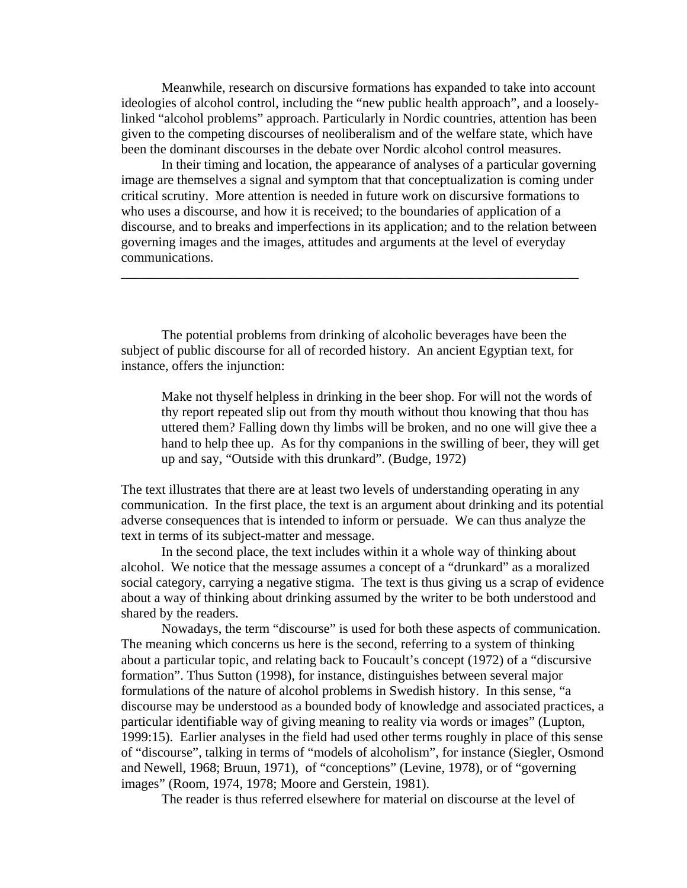Meanwhile, research on discursive formations has expanded to take into account ideologies of alcohol control, including the "new public health approach", and a looselylinked "alcohol problems" approach. Particularly in Nordic countries, attention has been given to the competing discourses of neoliberalism and of the welfare state, which have been the dominant discourses in the debate over Nordic alcohol control measures.

 In their timing and location, the appearance of analyses of a particular governing image are themselves a signal and symptom that that conceptualization is coming under critical scrutiny. More attention is needed in future work on discursive formations to who uses a discourse, and how it is received; to the boundaries of application of a discourse, and to breaks and imperfections in its application; and to the relation between governing images and the images, attitudes and arguments at the level of everyday communications.

\_\_\_\_\_\_\_\_\_\_\_\_\_\_\_\_\_\_\_\_\_\_\_\_\_\_\_\_\_\_\_\_\_\_\_\_\_\_\_\_\_\_\_\_\_\_\_\_\_\_\_\_\_\_\_\_\_\_\_\_\_\_\_\_\_\_\_\_

 The potential problems from drinking of alcoholic beverages have been the subject of public discourse for all of recorded history. An ancient Egyptian text, for instance, offers the injunction:

Make not thyself helpless in drinking in the beer shop. For will not the words of thy report repeated slip out from thy mouth without thou knowing that thou has uttered them? Falling down thy limbs will be broken, and no one will give thee a hand to help thee up. As for thy companions in the swilling of beer, they will get up and say, "Outside with this drunkard". (Budge, 1972)

The text illustrates that there are at least two levels of understanding operating in any communication. In the first place, the text is an argument about drinking and its potential adverse consequences that is intended to inform or persuade. We can thus analyze the text in terms of its subject-matter and message.

 In the second place, the text includes within it a whole way of thinking about alcohol. We notice that the message assumes a concept of a "drunkard" as a moralized social category, carrying a negative stigma. The text is thus giving us a scrap of evidence about a way of thinking about drinking assumed by the writer to be both understood and shared by the readers.

 Nowadays, the term "discourse" is used for both these aspects of communication. The meaning which concerns us here is the second, referring to a system of thinking about a particular topic, and relating back to Foucault's concept (1972) of a "discursive formation". Thus Sutton (1998), for instance, distinguishes between several major formulations of the nature of alcohol problems in Swedish history. In this sense, "a discourse may be understood as a bounded body of knowledge and associated practices, a particular identifiable way of giving meaning to reality via words or images" (Lupton, 1999:15). Earlier analyses in the field had used other terms roughly in place of this sense of "discourse", talking in terms of "models of alcoholism", for instance (Siegler, Osmond and Newell, 1968; Bruun, 1971), of "conceptions" (Levine, 1978), or of "governing images" (Room, 1974, 1978; Moore and Gerstein, 1981).

The reader is thus referred elsewhere for material on discourse at the level of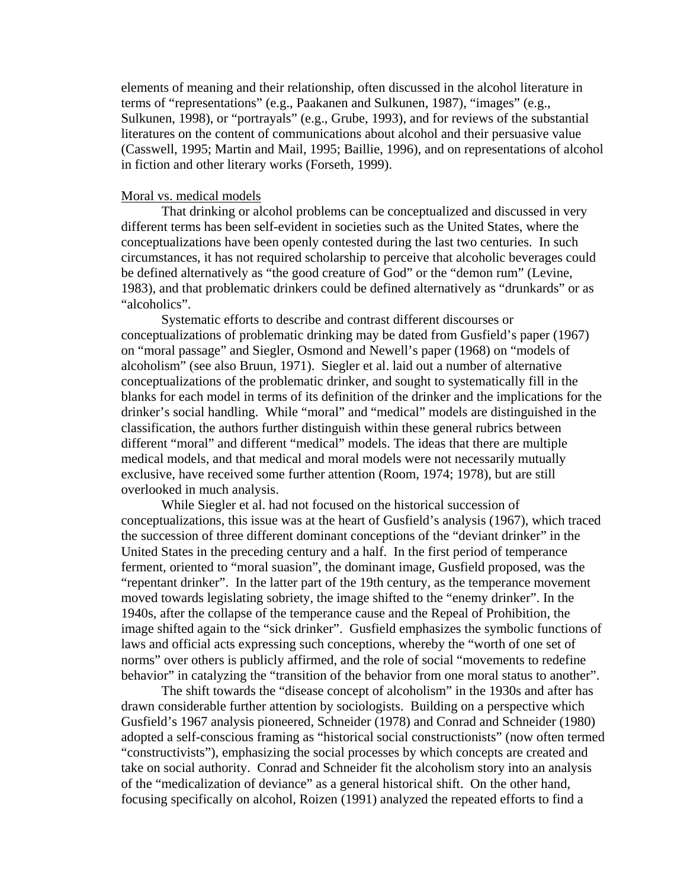elements of meaning and their relationship, often discussed in the alcohol literature in terms of "representations" (e.g., Paakanen and Sulkunen, 1987), "images" (e.g., Sulkunen, 1998), or "portrayals" (e.g., Grube, 1993), and for reviews of the substantial literatures on the content of communications about alcohol and their persuasive value (Casswell, 1995; Martin and Mail, 1995; Baillie, 1996), and on representations of alcohol in fiction and other literary works (Forseth, 1999).

#### Moral vs. medical models

 That drinking or alcohol problems can be conceptualized and discussed in very different terms has been self-evident in societies such as the United States, where the conceptualizations have been openly contested during the last two centuries. In such circumstances, it has not required scholarship to perceive that alcoholic beverages could be defined alternatively as "the good creature of God" or the "demon rum" (Levine, 1983), and that problematic drinkers could be defined alternatively as "drunkards" or as "alcoholics".

 Systematic efforts to describe and contrast different discourses or conceptualizations of problematic drinking may be dated from Gusfield's paper (1967) on "moral passage" and Siegler, Osmond and Newell's paper (1968) on "models of alcoholism" (see also Bruun, 1971). Siegler et al. laid out a number of alternative conceptualizations of the problematic drinker, and sought to systematically fill in the blanks for each model in terms of its definition of the drinker and the implications for the drinker's social handling. While "moral" and "medical" models are distinguished in the classification, the authors further distinguish within these general rubrics between different "moral" and different "medical" models. The ideas that there are multiple medical models, and that medical and moral models were not necessarily mutually exclusive, have received some further attention (Room, 1974; 1978), but are still overlooked in much analysis.

 While Siegler et al. had not focused on the historical succession of conceptualizations, this issue was at the heart of Gusfield's analysis (1967), which traced the succession of three different dominant conceptions of the "deviant drinker" in the United States in the preceding century and a half. In the first period of temperance ferment, oriented to "moral suasion", the dominant image, Gusfield proposed, was the "repentant drinker". In the latter part of the 19th century, as the temperance movement moved towards legislating sobriety, the image shifted to the "enemy drinker". In the 1940s, after the collapse of the temperance cause and the Repeal of Prohibition, the image shifted again to the "sick drinker". Gusfield emphasizes the symbolic functions of laws and official acts expressing such conceptions, whereby the "worth of one set of norms" over others is publicly affirmed, and the role of social "movements to redefine behavior" in catalyzing the "transition of the behavior from one moral status to another".

 The shift towards the "disease concept of alcoholism" in the 1930s and after has drawn considerable further attention by sociologists. Building on a perspective which Gusfield's 1967 analysis pioneered, Schneider (1978) and Conrad and Schneider (1980) adopted a self-conscious framing as "historical social constructionists" (now often termed "constructivists"), emphasizing the social processes by which concepts are created and take on social authority. Conrad and Schneider fit the alcoholism story into an analysis of the "medicalization of deviance" as a general historical shift. On the other hand, focusing specifically on alcohol, Roizen (1991) analyzed the repeated efforts to find a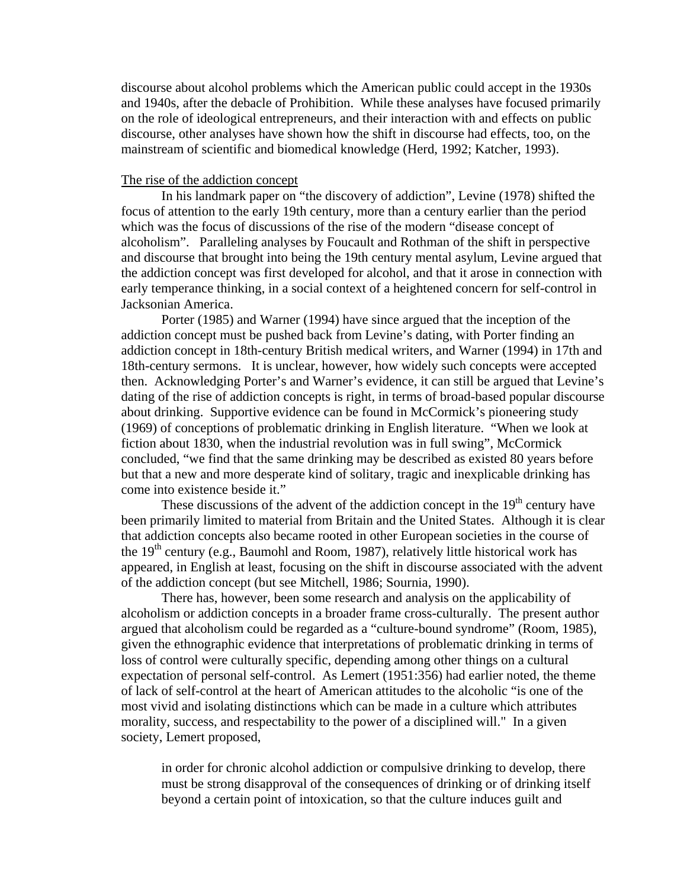discourse about alcohol problems which the American public could accept in the 1930s and 1940s, after the debacle of Prohibition. While these analyses have focused primarily on the role of ideological entrepreneurs, and their interaction with and effects on public discourse, other analyses have shown how the shift in discourse had effects, too, on the mainstream of scientific and biomedical knowledge (Herd, 1992; Katcher, 1993).

## The rise of the addiction concept

 In his landmark paper on "the discovery of addiction", Levine (1978) shifted the focus of attention to the early 19th century, more than a century earlier than the period which was the focus of discussions of the rise of the modern "disease concept of alcoholism". Paralleling analyses by Foucault and Rothman of the shift in perspective and discourse that brought into being the 19th century mental asylum, Levine argued that the addiction concept was first developed for alcohol, and that it arose in connection with early temperance thinking, in a social context of a heightened concern for self-control in Jacksonian America.

 Porter (1985) and Warner (1994) have since argued that the inception of the addiction concept must be pushed back from Levine's dating, with Porter finding an addiction concept in 18th-century British medical writers, and Warner (1994) in 17th and 18th-century sermons. It is unclear, however, how widely such concepts were accepted then. Acknowledging Porter's and Warner's evidence, it can still be argued that Levine's dating of the rise of addiction concepts is right, in terms of broad-based popular discourse about drinking. Supportive evidence can be found in McCormick's pioneering study (1969) of conceptions of problematic drinking in English literature. "When we look at fiction about 1830, when the industrial revolution was in full swing", McCormick concluded, "we find that the same drinking may be described as existed 80 years before but that a new and more desperate kind of solitary, tragic and inexplicable drinking has come into existence beside it."

These discussions of the advent of the addiction concept in the  $19<sup>th</sup>$  century have been primarily limited to material from Britain and the United States. Although it is clear that addiction concepts also became rooted in other European societies in the course of the  $19<sup>th</sup>$  century (e.g., Baumohl and Room, 1987), relatively little historical work has appeared, in English at least, focusing on the shift in discourse associated with the advent of the addiction concept (but see Mitchell, 1986; Sournia, 1990).

 There has, however, been some research and analysis on the applicability of alcoholism or addiction concepts in a broader frame cross-culturally. The present author argued that alcoholism could be regarded as a "culture-bound syndrome" (Room, 1985), given the ethnographic evidence that interpretations of problematic drinking in terms of loss of control were culturally specific, depending among other things on a cultural expectation of personal self-control. As Lemert (1951:356) had earlier noted, the theme of lack of self-control at the heart of American attitudes to the alcoholic "is one of the most vivid and isolating distinctions which can be made in a culture which attributes morality, success, and respectability to the power of a disciplined will." In a given society, Lemert proposed,

in order for chronic alcohol addiction or compulsive drinking to develop, there must be strong disapproval of the consequences of drinking or of drinking itself beyond a certain point of intoxication, so that the culture induces guilt and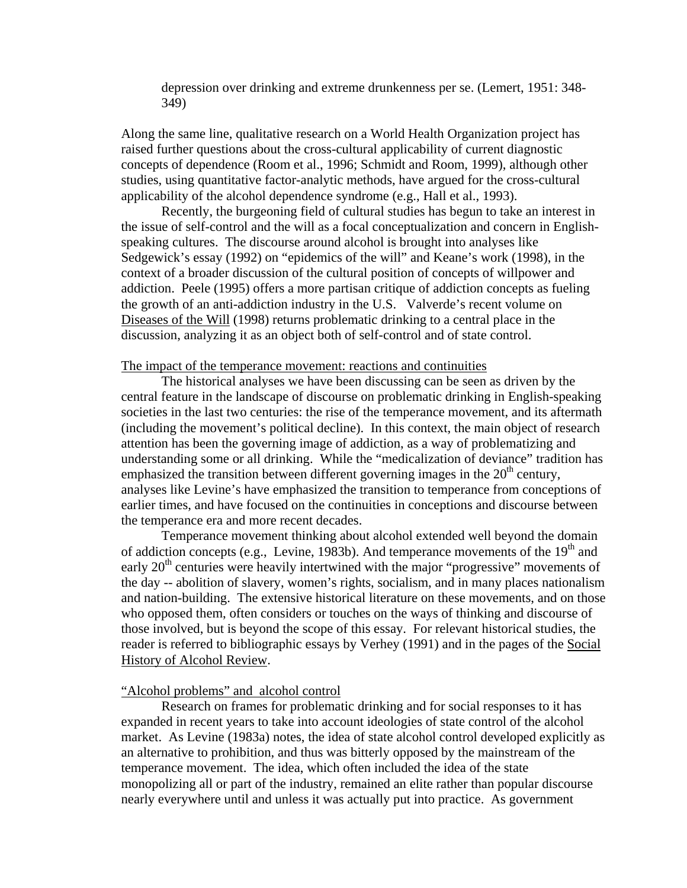depression over drinking and extreme drunkenness per se. (Lemert, 1951: 348- 349)

Along the same line, qualitative research on a World Health Organization project has raised further questions about the cross-cultural applicability of current diagnostic concepts of dependence (Room et al., 1996; Schmidt and Room, 1999), although other studies, using quantitative factor-analytic methods, have argued for the cross-cultural applicability of the alcohol dependence syndrome (e.g., Hall et al., 1993).

 Recently, the burgeoning field of cultural studies has begun to take an interest in the issue of self-control and the will as a focal conceptualization and concern in Englishspeaking cultures. The discourse around alcohol is brought into analyses like Sedgewick's essay (1992) on "epidemics of the will" and Keane's work (1998), in the context of a broader discussion of the cultural position of concepts of willpower and addiction. Peele (1995) offers a more partisan critique of addiction concepts as fueling the growth of an anti-addiction industry in the U.S. Valverde's recent volume on Diseases of the Will (1998) returns problematic drinking to a central place in the discussion, analyzing it as an object both of self-control and of state control.

#### The impact of the temperance movement: reactions and continuities

 The historical analyses we have been discussing can be seen as driven by the central feature in the landscape of discourse on problematic drinking in English-speaking societies in the last two centuries: the rise of the temperance movement, and its aftermath (including the movement's political decline). In this context, the main object of research attention has been the governing image of addiction, as a way of problematizing and understanding some or all drinking. While the "medicalization of deviance" tradition has emphasized the transition between different governing images in the  $20<sup>th</sup>$  century, analyses like Levine's have emphasized the transition to temperance from conceptions of earlier times, and have focused on the continuities in conceptions and discourse between the temperance era and more recent decades.

 Temperance movement thinking about alcohol extended well beyond the domain of addiction concepts (e.g., Levine, 1983b). And temperance movements of the  $19<sup>th</sup>$  and early  $20<sup>th</sup>$  centuries were heavily intertwined with the major "progressive" movements of the day -- abolition of slavery, women's rights, socialism, and in many places nationalism and nation-building. The extensive historical literature on these movements, and on those who opposed them, often considers or touches on the ways of thinking and discourse of those involved, but is beyond the scope of this essay. For relevant historical studies, the reader is referred to bibliographic essays by Verhey (1991) and in the pages of the Social History of Alcohol Review.

## "Alcohol problems" and alcohol control

 Research on frames for problematic drinking and for social responses to it has expanded in recent years to take into account ideologies of state control of the alcohol market. As Levine (1983a) notes, the idea of state alcohol control developed explicitly as an alternative to prohibition, and thus was bitterly opposed by the mainstream of the temperance movement. The idea, which often included the idea of the state monopolizing all or part of the industry, remained an elite rather than popular discourse nearly everywhere until and unless it was actually put into practice. As government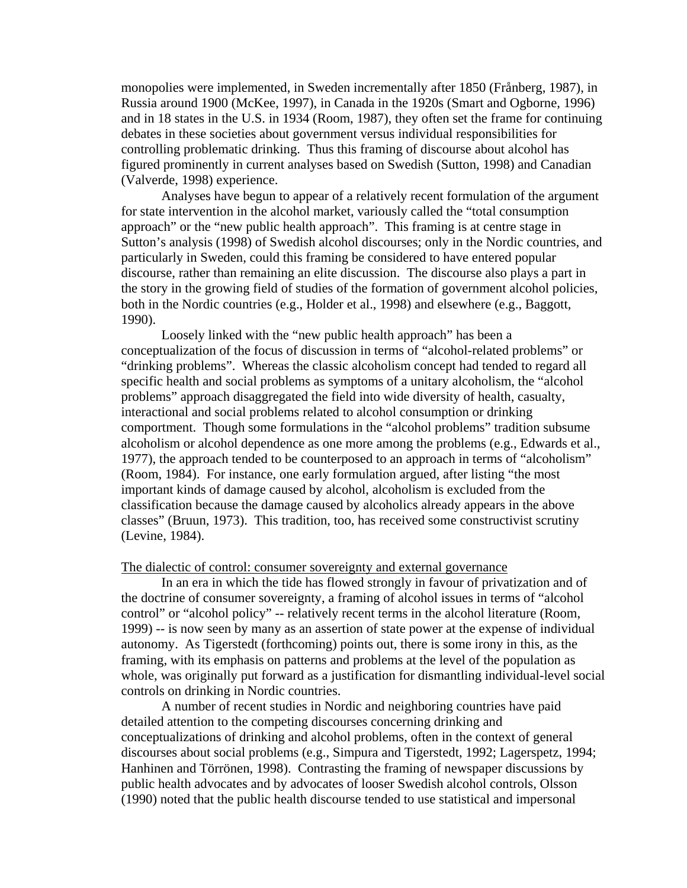monopolies were implemented, in Sweden incrementally after 1850 (Frånberg, 1987), in Russia around 1900 (McKee, 1997), in Canada in the 1920s (Smart and Ogborne, 1996) and in 18 states in the U.S. in 1934 (Room, 1987), they often set the frame for continuing debates in these societies about government versus individual responsibilities for controlling problematic drinking. Thus this framing of discourse about alcohol has figured prominently in current analyses based on Swedish (Sutton, 1998) and Canadian (Valverde, 1998) experience.

 Analyses have begun to appear of a relatively recent formulation of the argument for state intervention in the alcohol market, variously called the "total consumption approach" or the "new public health approach". This framing is at centre stage in Sutton's analysis (1998) of Swedish alcohol discourses; only in the Nordic countries, and particularly in Sweden, could this framing be considered to have entered popular discourse, rather than remaining an elite discussion. The discourse also plays a part in the story in the growing field of studies of the formation of government alcohol policies, both in the Nordic countries (e.g., Holder et al., 1998) and elsewhere (e.g., Baggott, 1990).

 Loosely linked with the "new public health approach" has been a conceptualization of the focus of discussion in terms of "alcohol-related problems" or "drinking problems". Whereas the classic alcoholism concept had tended to regard all specific health and social problems as symptoms of a unitary alcoholism, the "alcohol problems" approach disaggregated the field into wide diversity of health, casualty, interactional and social problems related to alcohol consumption or drinking comportment. Though some formulations in the "alcohol problems" tradition subsume alcoholism or alcohol dependence as one more among the problems (e.g., Edwards et al., 1977), the approach tended to be counterposed to an approach in terms of "alcoholism" (Room, 1984). For instance, one early formulation argued, after listing "the most important kinds of damage caused by alcohol, alcoholism is excluded from the classification because the damage caused by alcoholics already appears in the above classes" (Bruun, 1973). This tradition, too, has received some constructivist scrutiny (Levine, 1984).

#### The dialectic of control: consumer sovereignty and external governance

 In an era in which the tide has flowed strongly in favour of privatization and of the doctrine of consumer sovereignty, a framing of alcohol issues in terms of "alcohol control" or "alcohol policy" -- relatively recent terms in the alcohol literature (Room, 1999) -- is now seen by many as an assertion of state power at the expense of individual autonomy. As Tigerstedt (forthcoming) points out, there is some irony in this, as the framing, with its emphasis on patterns and problems at the level of the population as whole, was originally put forward as a justification for dismantling individual-level social controls on drinking in Nordic countries.

 A number of recent studies in Nordic and neighboring countries have paid detailed attention to the competing discourses concerning drinking and conceptualizations of drinking and alcohol problems, often in the context of general discourses about social problems (e.g., Simpura and Tigerstedt, 1992; Lagerspetz, 1994; Hanhinen and Törrönen, 1998). Contrasting the framing of newspaper discussions by public health advocates and by advocates of looser Swedish alcohol controls, Olsson (1990) noted that the public health discourse tended to use statistical and impersonal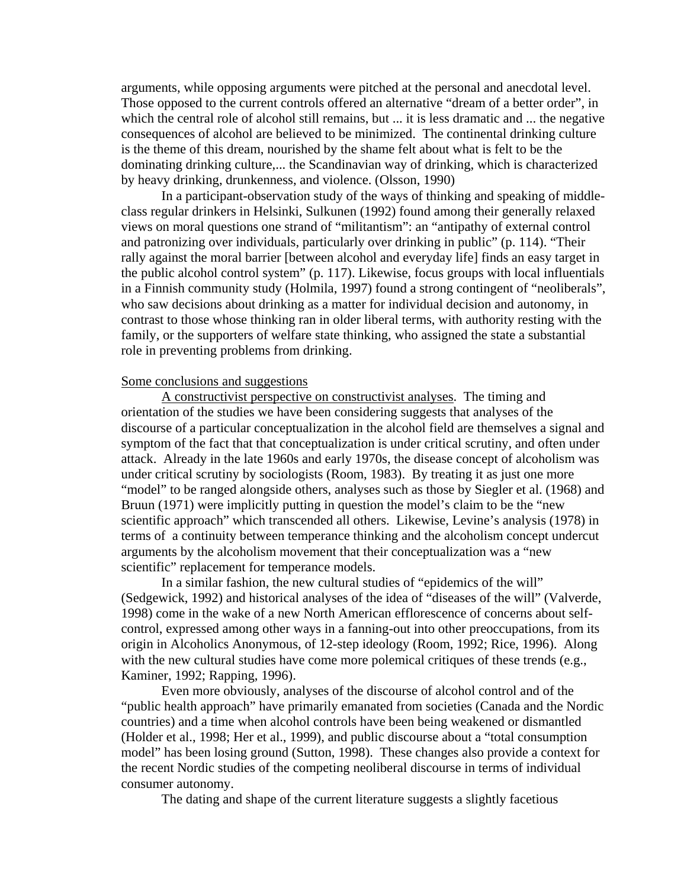arguments, while opposing arguments were pitched at the personal and anecdotal level. Those opposed to the current controls offered an alternative "dream of a better order", in which the central role of alcohol still remains, but ... it is less dramatic and ... the negative consequences of alcohol are believed to be minimized. The continental drinking culture is the theme of this dream, nourished by the shame felt about what is felt to be the dominating drinking culture,... the Scandinavian way of drinking, which is characterized by heavy drinking, drunkenness, and violence. (Olsson, 1990)

 In a participant-observation study of the ways of thinking and speaking of middleclass regular drinkers in Helsinki, Sulkunen (1992) found among their generally relaxed views on moral questions one strand of "militantism": an "antipathy of external control and patronizing over individuals, particularly over drinking in public" (p. 114). "Their rally against the moral barrier [between alcohol and everyday life] finds an easy target in the public alcohol control system" (p. 117). Likewise, focus groups with local influentials in a Finnish community study (Holmila, 1997) found a strong contingent of "neoliberals", who saw decisions about drinking as a matter for individual decision and autonomy, in contrast to those whose thinking ran in older liberal terms, with authority resting with the family, or the supporters of welfare state thinking, who assigned the state a substantial role in preventing problems from drinking.

## Some conclusions and suggestions

A constructivist perspective on constructivist analyses. The timing and orientation of the studies we have been considering suggests that analyses of the discourse of a particular conceptualization in the alcohol field are themselves a signal and symptom of the fact that that conceptualization is under critical scrutiny, and often under attack. Already in the late 1960s and early 1970s, the disease concept of alcoholism was under critical scrutiny by sociologists (Room, 1983). By treating it as just one more "model" to be ranged alongside others, analyses such as those by Siegler et al. (1968) and Bruun (1971) were implicitly putting in question the model's claim to be the "new scientific approach" which transcended all others. Likewise, Levine's analysis (1978) in terms of a continuity between temperance thinking and the alcoholism concept undercut arguments by the alcoholism movement that their conceptualization was a "new scientific" replacement for temperance models.

 In a similar fashion, the new cultural studies of "epidemics of the will" (Sedgewick, 1992) and historical analyses of the idea of "diseases of the will" (Valverde, 1998) come in the wake of a new North American efflorescence of concerns about selfcontrol, expressed among other ways in a fanning-out into other preoccupations, from its origin in Alcoholics Anonymous, of 12-step ideology (Room, 1992; Rice, 1996). Along with the new cultural studies have come more polemical critiques of these trends (e.g., Kaminer, 1992; Rapping, 1996).

 Even more obviously, analyses of the discourse of alcohol control and of the "public health approach" have primarily emanated from societies (Canada and the Nordic countries) and a time when alcohol controls have been being weakened or dismantled (Holder et al., 1998; Her et al., 1999), and public discourse about a "total consumption model" has been losing ground (Sutton, 1998). These changes also provide a context for the recent Nordic studies of the competing neoliberal discourse in terms of individual consumer autonomy.

The dating and shape of the current literature suggests a slightly facetious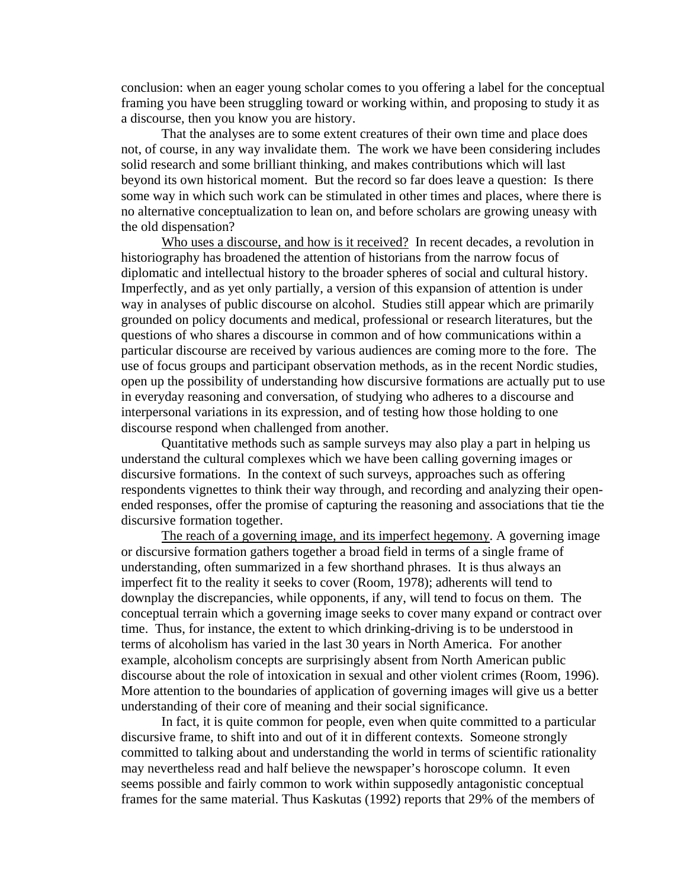conclusion: when an eager young scholar comes to you offering a label for the conceptual framing you have been struggling toward or working within, and proposing to study it as a discourse, then you know you are history.

 That the analyses are to some extent creatures of their own time and place does not, of course, in any way invalidate them. The work we have been considering includes solid research and some brilliant thinking, and makes contributions which will last beyond its own historical moment. But the record so far does leave a question: Is there some way in which such work can be stimulated in other times and places, where there is no alternative conceptualization to lean on, and before scholars are growing uneasy with the old dispensation?

Who uses a discourse, and how is it received? In recent decades, a revolution in historiography has broadened the attention of historians from the narrow focus of diplomatic and intellectual history to the broader spheres of social and cultural history. Imperfectly, and as yet only partially, a version of this expansion of attention is under way in analyses of public discourse on alcohol. Studies still appear which are primarily grounded on policy documents and medical, professional or research literatures, but the questions of who shares a discourse in common and of how communications within a particular discourse are received by various audiences are coming more to the fore. The use of focus groups and participant observation methods, as in the recent Nordic studies, open up the possibility of understanding how discursive formations are actually put to use in everyday reasoning and conversation, of studying who adheres to a discourse and interpersonal variations in its expression, and of testing how those holding to one discourse respond when challenged from another.

 Quantitative methods such as sample surveys may also play a part in helping us understand the cultural complexes which we have been calling governing images or discursive formations. In the context of such surveys, approaches such as offering respondents vignettes to think their way through, and recording and analyzing their openended responses, offer the promise of capturing the reasoning and associations that tie the discursive formation together.

 The reach of a governing image, and its imperfect hegemony. A governing image or discursive formation gathers together a broad field in terms of a single frame of understanding, often summarized in a few shorthand phrases. It is thus always an imperfect fit to the reality it seeks to cover (Room, 1978); adherents will tend to downplay the discrepancies, while opponents, if any, will tend to focus on them. The conceptual terrain which a governing image seeks to cover many expand or contract over time. Thus, for instance, the extent to which drinking-driving is to be understood in terms of alcoholism has varied in the last 30 years in North America. For another example, alcoholism concepts are surprisingly absent from North American public discourse about the role of intoxication in sexual and other violent crimes (Room, 1996). More attention to the boundaries of application of governing images will give us a better understanding of their core of meaning and their social significance.

 In fact, it is quite common for people, even when quite committed to a particular discursive frame, to shift into and out of it in different contexts. Someone strongly committed to talking about and understanding the world in terms of scientific rationality may nevertheless read and half believe the newspaper's horoscope column. It even seems possible and fairly common to work within supposedly antagonistic conceptual frames for the same material. Thus Kaskutas (1992) reports that 29% of the members of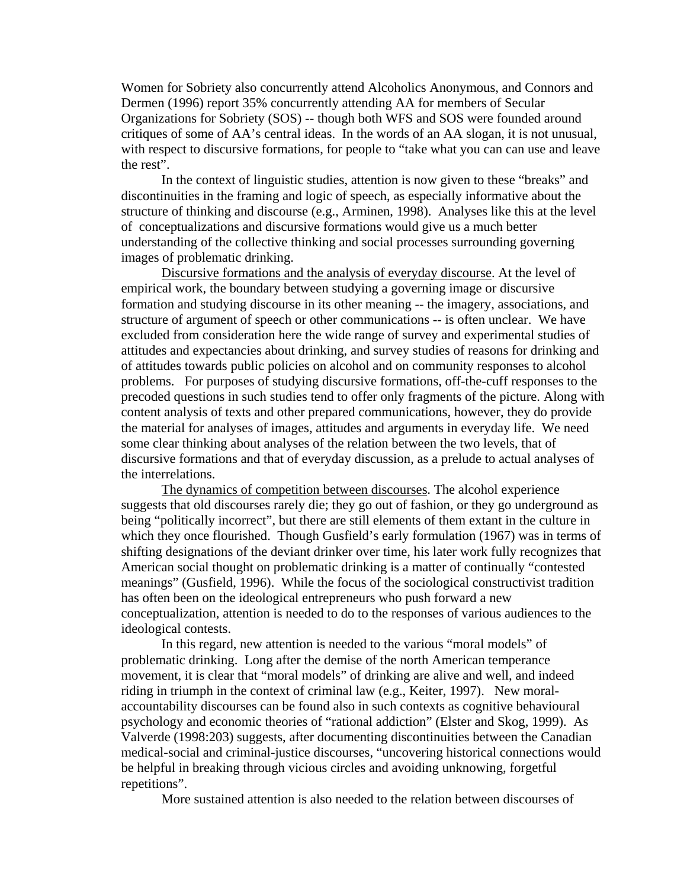Women for Sobriety also concurrently attend Alcoholics Anonymous, and Connors and Dermen (1996) report 35% concurrently attending AA for members of Secular Organizations for Sobriety (SOS) -- though both WFS and SOS were founded around critiques of some of AA's central ideas. In the words of an AA slogan, it is not unusual, with respect to discursive formations, for people to "take what you can can use and leave the rest".

 In the context of linguistic studies, attention is now given to these "breaks" and discontinuities in the framing and logic of speech, as especially informative about the structure of thinking and discourse (e.g., Arminen, 1998). Analyses like this at the level of conceptualizations and discursive formations would give us a much better understanding of the collective thinking and social processes surrounding governing images of problematic drinking.

Discursive formations and the analysis of everyday discourse. At the level of empirical work, the boundary between studying a governing image or discursive formation and studying discourse in its other meaning -- the imagery, associations, and structure of argument of speech or other communications -- is often unclear. We have excluded from consideration here the wide range of survey and experimental studies of attitudes and expectancies about drinking, and survey studies of reasons for drinking and of attitudes towards public policies on alcohol and on community responses to alcohol problems. For purposes of studying discursive formations, off-the-cuff responses to the precoded questions in such studies tend to offer only fragments of the picture. Along with content analysis of texts and other prepared communications, however, they do provide the material for analyses of images, attitudes and arguments in everyday life. We need some clear thinking about analyses of the relation between the two levels, that of discursive formations and that of everyday discussion, as a prelude to actual analyses of the interrelations.

The dynamics of competition between discourses. The alcohol experience suggests that old discourses rarely die; they go out of fashion, or they go underground as being "politically incorrect", but there are still elements of them extant in the culture in which they once flourished. Though Gusfield's early formulation (1967) was in terms of shifting designations of the deviant drinker over time, his later work fully recognizes that American social thought on problematic drinking is a matter of continually "contested meanings" (Gusfield, 1996). While the focus of the sociological constructivist tradition has often been on the ideological entrepreneurs who push forward a new conceptualization, attention is needed to do to the responses of various audiences to the ideological contests.

 In this regard, new attention is needed to the various "moral models" of problematic drinking. Long after the demise of the north American temperance movement, it is clear that "moral models" of drinking are alive and well, and indeed riding in triumph in the context of criminal law (e.g., Keiter, 1997). New moralaccountability discourses can be found also in such contexts as cognitive behavioural psychology and economic theories of "rational addiction" (Elster and Skog, 1999). As Valverde (1998:203) suggests, after documenting discontinuities between the Canadian medical-social and criminal-justice discourses, "uncovering historical connections would be helpful in breaking through vicious circles and avoiding unknowing, forgetful repetitions".

More sustained attention is also needed to the relation between discourses of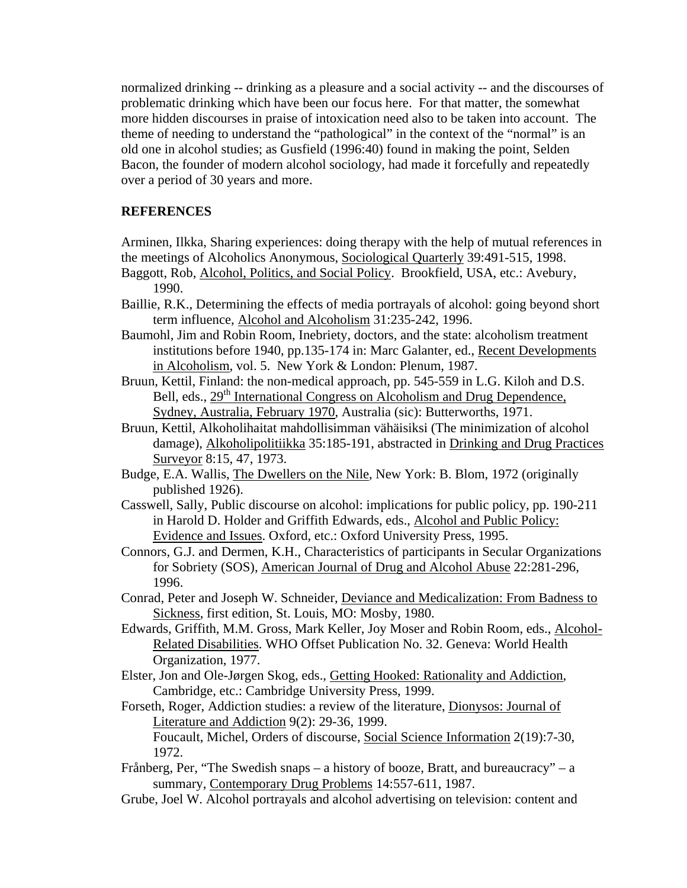normalized drinking -- drinking as a pleasure and a social activity -- and the discourses of problematic drinking which have been our focus here. For that matter, the somewhat more hidden discourses in praise of intoxication need also to be taken into account. The theme of needing to understand the "pathological" in the context of the "normal" is an old one in alcohol studies; as Gusfield (1996:40) found in making the point, Selden Bacon, the founder of modern alcohol sociology, had made it forcefully and repeatedly over a period of 30 years and more.

# **REFERENCES**

Arminen, Ilkka, Sharing experiences: doing therapy with the help of mutual references in the meetings of Alcoholics Anonymous, Sociological Quarterly 39:491-515, 1998.

- Baggott, Rob, Alcohol, Politics, and Social Policy. Brookfield, USA, etc.: Avebury, 1990.
- Baillie, R.K., Determining the effects of media portrayals of alcohol: going beyond short term influence, Alcohol and Alcoholism 31:235-242, 1996.
- Baumohl, Jim and Robin Room, Inebriety, doctors, and the state: alcoholism treatment institutions before 1940, pp.135-174 in: Marc Galanter, ed., Recent Developments in Alcoholism, vol. 5. New York & London: Plenum, 1987.
- Bruun, Kettil, Finland: the non-medical approach, pp. 545-559 in L.G. Kiloh and D.S. Bell, eds., 29<sup>th</sup> International Congress on Alcoholism and Drug Dependence, Sydney, Australia, February 1970, Australia (sic): Butterworths, 1971.
- Bruun, Kettil, Alkoholihaitat mahdollisimman vähäisiksi (The minimization of alcohol damage), Alkoholipolitiikka 35:185-191, abstracted in Drinking and Drug Practices Surveyor 8:15, 47, 1973.
- Budge, E.A. Wallis, The Dwellers on the Nile, New York: B. Blom, 1972 (originally published 1926).
- Casswell, Sally, Public discourse on alcohol: implications for public policy, pp. 190-211 in Harold D. Holder and Griffith Edwards, eds., Alcohol and Public Policy: Evidence and Issues. Oxford, etc.: Oxford University Press, 1995.
- Connors, G.J. and Dermen, K.H., Characteristics of participants in Secular Organizations for Sobriety (SOS), American Journal of Drug and Alcohol Abuse 22:281-296, 1996.
- Conrad, Peter and Joseph W. Schneider, Deviance and Medicalization: From Badness to Sickness, first edition, St. Louis, MO: Mosby, 1980.
- Edwards, Griffith, M.M. Gross, Mark Keller, Joy Moser and Robin Room, eds., Alcohol-Related Disabilities. WHO Offset Publication No. 32. Geneva: World Health Organization, 1977.
- Elster, Jon and Ole-Jørgen Skog, eds., Getting Hooked: Rationality and Addiction, Cambridge, etc.: Cambridge University Press, 1999.
- Forseth, Roger, Addiction studies: a review of the literature, Dionysos: Journal of Literature and Addiction 9(2): 29-36, 1999. Foucault, Michel, Orders of discourse, Social Science Information 2(19):7-30, 1972.
- Frånberg, Per, "The Swedish snaps a history of booze, Bratt, and bureaucracy" a summary, Contemporary Drug Problems 14:557-611, 1987.
- Grube, Joel W. Alcohol portrayals and alcohol advertising on television: content and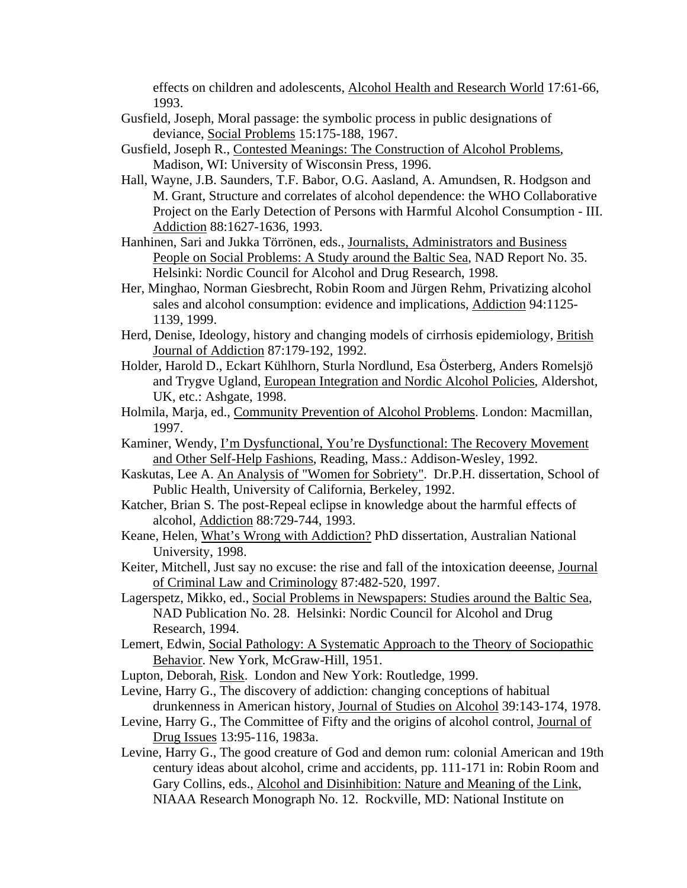effects on children and adolescents, Alcohol Health and Research World 17:61-66, 1993.

- Gusfield, Joseph, Moral passage: the symbolic process in public designations of deviance, Social Problems 15:175-188, 1967.
- Gusfield, Joseph R., Contested Meanings: The Construction of Alcohol Problems, Madison, WI: University of Wisconsin Press, 1996.
- Hall, Wayne, J.B. Saunders, T.F. Babor, O.G. Aasland, A. Amundsen, R. Hodgson and M. Grant, Structure and correlates of alcohol dependence: the WHO Collaborative Project on the Early Detection of Persons with Harmful Alcohol Consumption - III. Addiction 88:1627-1636, 1993.
- Hanhinen, Sari and Jukka Törrönen, eds., Journalists, Administrators and Business People on Social Problems: A Study around the Baltic Sea, NAD Report No. 35. Helsinki: Nordic Council for Alcohol and Drug Research, 1998.
- Her, Minghao, Norman Giesbrecht, Robin Room and Jürgen Rehm, Privatizing alcohol sales and alcohol consumption: evidence and implications, Addiction 94:1125- 1139, 1999.
- Herd, Denise, Ideology, history and changing models of cirrhosis epidemiology, British Journal of Addiction 87:179-192, 1992.
- Holder, Harold D., Eckart Kühlhorn, Sturla Nordlund, Esa Österberg, Anders Romelsjö and Trygve Ugland, European Integration and Nordic Alcohol Policies, Aldershot, UK, etc.: Ashgate, 1998.
- Holmila, Marja, ed., Community Prevention of Alcohol Problems. London: Macmillan, 1997.
- Kaminer, Wendy, I'm Dysfunctional, You're Dysfunctional: The Recovery Movement and Other Self-Help Fashions, Reading, Mass.: Addison-Wesley, 1992.
- Kaskutas, Lee A. An Analysis of "Women for Sobriety". Dr.P.H. dissertation, School of Public Health, University of California, Berkeley, 1992.
- Katcher, Brian S. The post-Repeal eclipse in knowledge about the harmful effects of alcohol, Addiction 88:729-744, 1993.
- Keane, Helen, What's Wrong with Addiction? PhD dissertation, Australian National University, 1998.
- Keiter, Mitchell, Just say no excuse: the rise and fall of the intoxication deeense, Journal of Criminal Law and Criminology 87:482-520, 1997.
- Lagerspetz, Mikko, ed., Social Problems in Newspapers: Studies around the Baltic Sea, NAD Publication No. 28. Helsinki: Nordic Council for Alcohol and Drug Research, 1994.
- Lemert, Edwin, Social Pathology: A Systematic Approach to the Theory of Sociopathic Behavior. New York, McGraw-Hill, 1951.
- Lupton, Deborah, Risk. London and New York: Routledge, 1999.
- Levine, Harry G., The discovery of addiction: changing conceptions of habitual drunkenness in American history, Journal of Studies on Alcohol 39:143-174, 1978.
- Levine, Harry G., The Committee of Fifty and the origins of alcohol control, Journal of Drug Issues 13:95-116, 1983a.
- Levine, Harry G., The good creature of God and demon rum: colonial American and 19th century ideas about alcohol, crime and accidents, pp. 111-171 in: Robin Room and Gary Collins, eds., Alcohol and Disinhibition: Nature and Meaning of the Link, NIAAA Research Monograph No. 12. Rockville, MD: National Institute on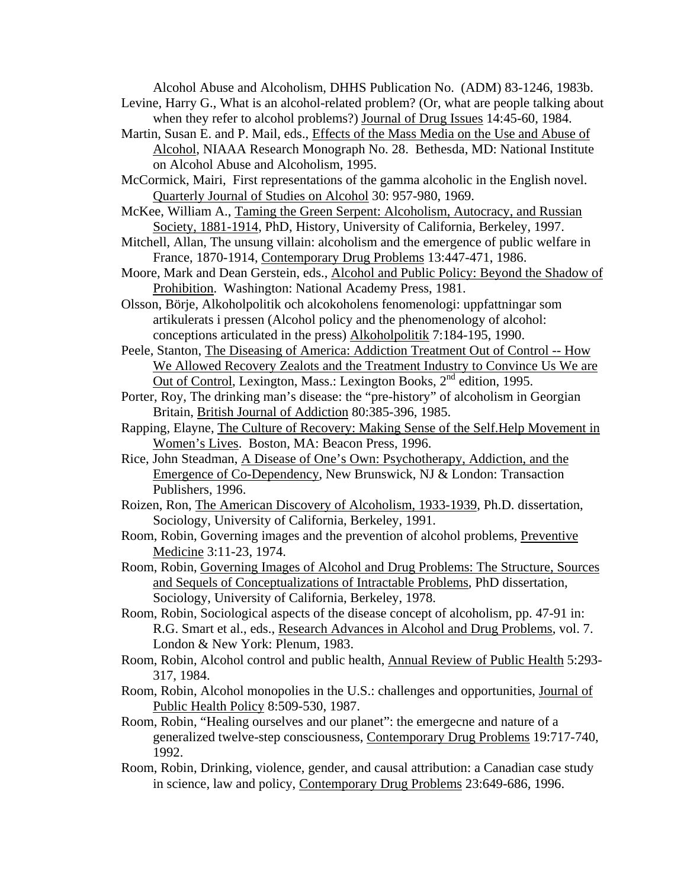Alcohol Abuse and Alcoholism, DHHS Publication No. (ADM) 83-1246, 1983b.

- Levine, Harry G., What is an alcohol-related problem? (Or, what are people talking about when they refer to alcohol problems?) Journal of Drug Issues 14:45-60, 1984.
- Martin, Susan E. and P. Mail, eds., Effects of the Mass Media on the Use and Abuse of Alcohol, NIAAA Research Monograph No. 28. Bethesda, MD: National Institute on Alcohol Abuse and Alcoholism, 1995.
- McCormick, Mairi, First representations of the gamma alcoholic in the English novel. Quarterly Journal of Studies on Alcohol 30: 957-980, 1969.
- McKee, William A., Taming the Green Serpent: Alcoholism, Autocracy, and Russian Society, 1881-1914, PhD, History, University of California, Berkeley, 1997.
- Mitchell, Allan, The unsung villain: alcoholism and the emergence of public welfare in France, 1870-1914, Contemporary Drug Problems 13:447-471, 1986.
- Moore, Mark and Dean Gerstein, eds., Alcohol and Public Policy: Beyond the Shadow of Prohibition. Washington: National Academy Press, 1981.
- Olsson, Börje, Alkoholpolitik och alcokoholens fenomenologi: uppfattningar som artikulerats i pressen (Alcohol policy and the phenomenology of alcohol: conceptions articulated in the press) Alkoholpolitik 7:184-195, 1990.
- Peele, Stanton, The Diseasing of America: Addiction Treatment Out of Control -- How We Allowed Recovery Zealots and the Treatment Industry to Convince Us We are Out of Control, Lexington, Mass.: Lexington Books, 2nd edition, 1995.
- Porter, Roy, The drinking man's disease: the "pre-history" of alcoholism in Georgian Britain, British Journal of Addiction 80:385-396, 1985.
- Rapping, Elayne, The Culture of Recovery: Making Sense of the Self.Help Movement in Women's Lives. Boston, MA: Beacon Press, 1996.
- Rice, John Steadman, A Disease of One's Own: Psychotherapy, Addiction, and the Emergence of Co-Dependency, New Brunswick, NJ & London: Transaction Publishers, 1996.
- Roizen, Ron, The American Discovery of Alcoholism, 1933-1939, Ph.D. dissertation, Sociology, University of California, Berkeley, 1991.
- Room, Robin, Governing images and the prevention of alcohol problems, Preventive Medicine 3:11-23, 1974.
- Room, Robin, Governing Images of Alcohol and Drug Problems: The Structure, Sources and Sequels of Conceptualizations of Intractable Problems, PhD dissertation, Sociology, University of California, Berkeley, 1978.
- Room, Robin, Sociological aspects of the disease concept of alcoholism, pp. 47-91 in: R.G. Smart et al., eds., Research Advances in Alcohol and Drug Problems, vol. 7. London & New York: Plenum, 1983.
- Room, Robin, Alcohol control and public health, Annual Review of Public Health 5:293- 317, 1984.
- Room, Robin, Alcohol monopolies in the U.S.: challenges and opportunities, Journal of Public Health Policy 8:509-530, 1987.
- Room, Robin, "Healing ourselves and our planet": the emergecne and nature of a generalized twelve-step consciousness, Contemporary Drug Problems 19:717-740, 1992.
- Room, Robin, Drinking, violence, gender, and causal attribution: a Canadian case study in science, law and policy, Contemporary Drug Problems 23:649-686, 1996.